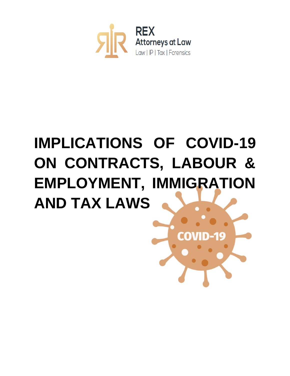

# **IMPLICATIONS OF COVID-19 ON CONTRACTS, LABOUR & EMPLOYMENT, IMMIGRATION AND TAX LAWS**

 $\alpha$  0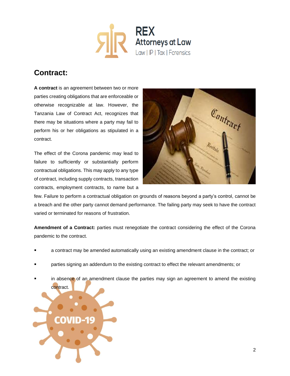

# **Contract:**

**A contract** is an agreement between two or more parties creating obligations that are enforceable or otherwise recognizable at law. However, the Tanzania Law of Contract Act, recognizes that there may be situations where a party may fail to perform his or her obligations as stipulated in a contract.

The effect of the Corona pandemic may lead to failure to sufficiently or substantially perform contractual obligations. This may apply to any type of contract, including supply contracts, transaction contracts, employment contracts, to name but a



few. Failure to perform a contractual obligation on grounds of reasons beyond a party's control, cannot be a breach and the other party cannot demand performance. The failing party may seek to have the contract varied or terminated for reasons of frustration.

**Amendment of a Contract:** parties must renegotiate the contract considering the effect of the Corona pandemic to the contract.

- a contract may be amended automatically using an existing amendment clause in the contract; or
- parties signing an addendum to the existing contract to effect the relevant amendments; or
- in absence of an amendment clause the parties may sign an agreement to amend the existing

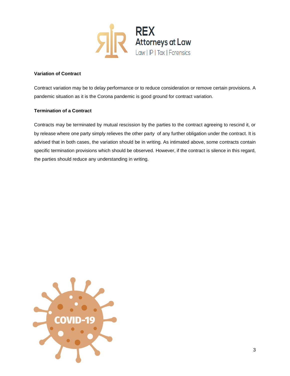

# **Variation of Contract**

Contract variation may be to delay performance or to reduce consideration or remove certain provisions. A pandemic situation as it is the Corona pandemic is good ground for contract variation.

## **Termination of a Contract**

Contracts may be terminated by mutual rescission by the parties to the contract agreeing to rescind it, or by release where one party simply relieves the other party of any further obligation under the contract. It is advised that in both cases, the variation should be in writing. As intimated above, some contracts contain specific termination provisions which should be observed. However, if the contract is silence in this regard, the parties should reduce any understanding in writing.

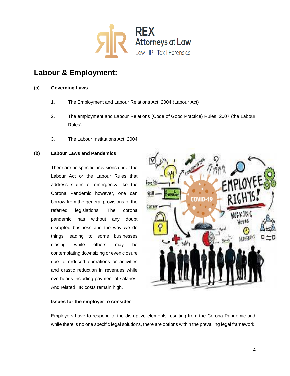

# **Labour & Employment:**

# **(a) Governing Laws**

- 1. The Employment and Labour Relations Act, 2004 (Labour Act)
- 2. The employment and Labour Relations (Code of Good Practice) Rules, 2007 (the Labour Rules)
- 3. The Labour Institutions Act, 2004

# **(b) Labour Laws and Pandemics**

There are no specific provisions under the Labour Act or the Labour Rules that address states of emergency like the Corona Pandemic however, one can borrow from the general provisions of the referred legislations. The corona pandemic has without any doubt disrupted business and the way we do things leading to some businesses closing while others may be contemplating downsizing or even closure due to reduced operations or activities and drastic reduction in revenues while overheads including payment of salaries. And related HR costs remain high.



#### **Issues for the employer to consider**

Employers have to respond to the disruptive elements resulting from the Corona Pandemic and while there is no one specific legal solutions, there are options within the prevailing legal framework.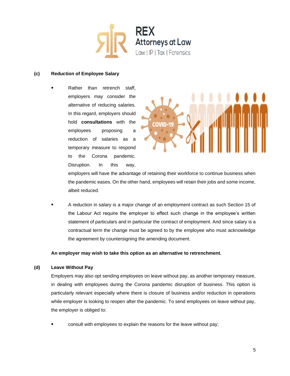

### **(c) Reduction of Employee Salary**

Rather than retrench staff, employers may consider the alternative of reducing salaries. In this regard, employers should hold **consultations** with the employees proposing a reduction of salaries as a temporary measure to respond to the Corona pandemic. Disruption. In this way,



employers will have the advantage of retaining their workforce to continue business when the pandemic eases. On the other hand, employees will retain their jobs and some income, albeit reduced.

A reduction in salary is a major change of an employment contract as such Section 15 of the Labour Act require the employer to effect such change in the employee's written statement of particulars and in particular the contract of employment. And since salary is a contractual term the change must be agreed to by the employee who must acknowledge the agreement by countersigning the amending document.

**An employer may wish to take this option as an alternative to retrenchment.**

## **(d) Leave Without Pay**

Employers may also opt sending employees on leave without pay, as another temporary measure, in dealing with employees during the Corona pandemic disruption of business. This option is particularly relevant especially where there is closure of business and/or reduction in operations while employer is looking to reopen after the pandemic. To send employees on leave without pay, the employer is obliged to:

consult with employees to explain the reasons for the leave without pay;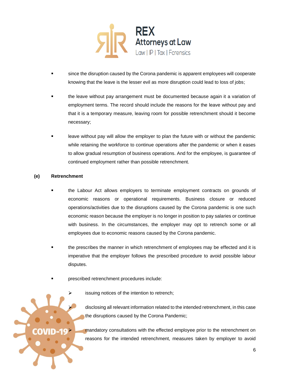

- since the disruption caused by the Corona pandemic is apparent employees will cooperate knowing that the leave is the lesser evil as more disruption could lead to loss of jobs;
- the leave without pay arrangement must be documented because again it a variation of employment terms. The record should include the reasons for the leave without pay and that it is a temporary measure, leaving room for possible retrenchment should it become necessary;
- leave without pay will allow the employer to plan the future with or without the pandemic while retaining the workforce to continue operations after the pandemic or when it eases to allow gradual resumption of business operations. And for the employee, is guarantee of continued employment rather than possible retrenchment.

# **(e) Retrenchment**

- the Labour Act allows employers to terminate employment contracts on grounds of economic reasons or operational requirements. Business closure or reduced operations/activities due to the disruptions caused by the Corona pandemic is one such economic reason because the employer is no longer in position to pay salaries or continue with business. In the circumstances, the employer may opt to retrench some or all employees due to economic reasons caused by the Corona pandemic.
- the prescribes the manner in which retrenchment of employees may be effected and it is imperative that the employer follows the prescribed procedure to avoid possible labour disputes.
- prescribed retrenchment procedures include:
	- issuing notices of the intention to retrench;

disclosing all relevant information related to the intended retrenchment, in this case the disruptions caused by the Corona Pandemic;

mandatory consultations with the effected employee prior to the retrenchment on reasons for the intended retrenchment, measures taken by employer to avoid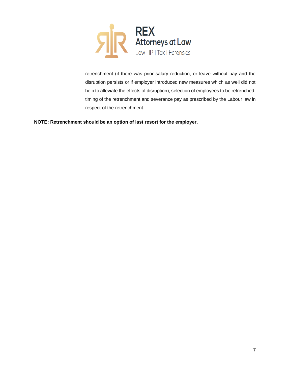

retrenchment (if there was prior salary reduction, or leave without pay and the disruption persists or if employer introduced new measures which as well did not help to alleviate the effects of disruption), selection of employees to be retrenched, timing of the retrenchment and severance pay as prescribed by the Labour law in respect of the retrenchment.

**NOTE: Retrenchment should be an option of last resort for the employer.**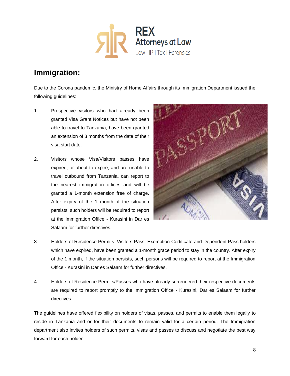

# **Immigration:**

Due to the Corona pandemic, the Ministry of Home Affairs through its Immigration Department issued the following guidelines:

- 1. Prospective visitors who had already been granted Visa Grant Notices but have not been able to travel to Tanzania, have been granted an extension of 3 months from the date of their visa start date.
- 2. Visitors whose Visa/Visitors passes have expired, or about to expire, and are unable to travel outbound from Tanzania, can report to the nearest immigration offices and will be granted a 1-month extension free of charge. After expiry of the 1 month, if the situation persists, such holders will be required to report at the Immigration Office - Kurasini in Dar es Salaam for further directives.



- 3. Holders of Residence Permits, Visitors Pass, Exemption Certificate and Dependent Pass holders which have expired, have been granted a 1-month grace period to stay in the country. After expiry of the 1 month, if the situation persists, such persons will be required to report at the Immigration Office - Kurasini in Dar es Salaam for further directives.
- 4. Holders of Residence Permits/Passes who have already surrendered their respective documents are required to report promptly to the Immigration Office - Kurasini, Dar es Salaam for further directives.

The guidelines have offered flexibility on holders of visas, passes, and permits to enable them legally to reside in Tanzania and or for their documents to remain valid for a certain period. The Immigration department also invites holders of such permits, visas and passes to discuss and negotiate the best way forward for each holder.